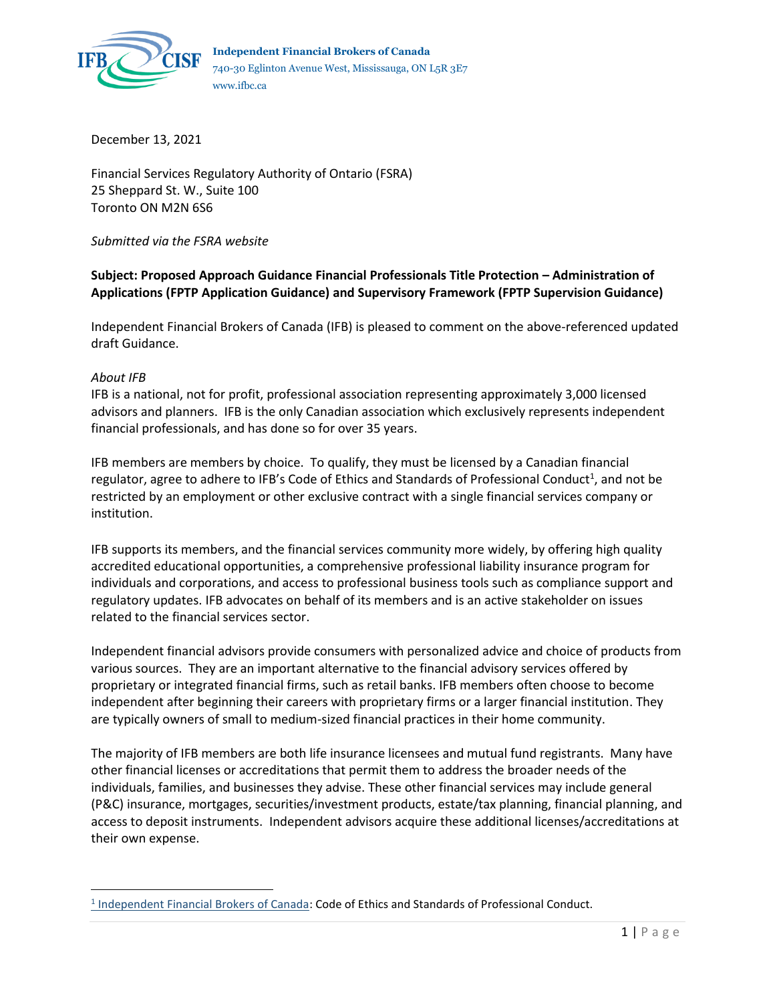

December 13, 2021

Financial Services Regulatory Authority of Ontario (FSRA) 25 Sheppard St. W., Suite 100 Toronto ON M2N 6S6

*Submitted via the FSRA website*

**Subject: Proposed Approach Guidance Financial Professionals Title Protection – Administration of Applications (FPTP Application Guidance) and Supervisory Framework (FPTP Supervision Guidance)**

Independent Financial Brokers of Canada (IFB) is pleased to comment on the above-referenced updated draft Guidance.

#### *About IFB*

IFB is a national, not for profit, professional association representing approximately 3,000 licensed advisors and planners. IFB is the only Canadian association which exclusively represents independent financial professionals, and has done so for over 35 years.

IFB members are members by choice. To qualify, they must be licensed by a Canadian financial regulator, agree to adhere to IFB's Code of Ethics and Standards of Professional Conduct<sup>1</sup>, and not be restricted by an employment or other exclusive contract with a single financial services company or institution.

IFB supports its members, and the financial services community more widely, by offering high quality accredited educational opportunities, a comprehensive professional liability insurance program for individuals and corporations, and access to professional business tools such as compliance support and regulatory updates. IFB advocates on behalf of its members and is an active stakeholder on issues related to the financial services sector.

Independent financial advisors provide consumers with personalized advice and choice of products from various sources. They are an important alternative to the financial advisory services offered by proprietary or integrated financial firms, such as retail banks. IFB members often choose to become independent after beginning their careers with proprietary firms or a larger financial institution. They are typically owners of small to medium-sized financial practices in their home community.

The majority of IFB members are both life insurance licensees and mutual fund registrants. Many have other financial licenses or accreditations that permit them to address the broader needs of the individuals, families, and businesses they advise. These other financial services may include general (P&C) insurance, mortgages, securities/investment products, estate/tax planning, financial planning, and access to deposit instruments. Independent advisors acquire these additional licenses/accreditations at their own expense.

<sup>&</sup>lt;sup>1</sup> [Independent Financial Brokers of Canada:](https://ifbc.ca/code-ethics/) Code of Ethics and Standards of Professional Conduct.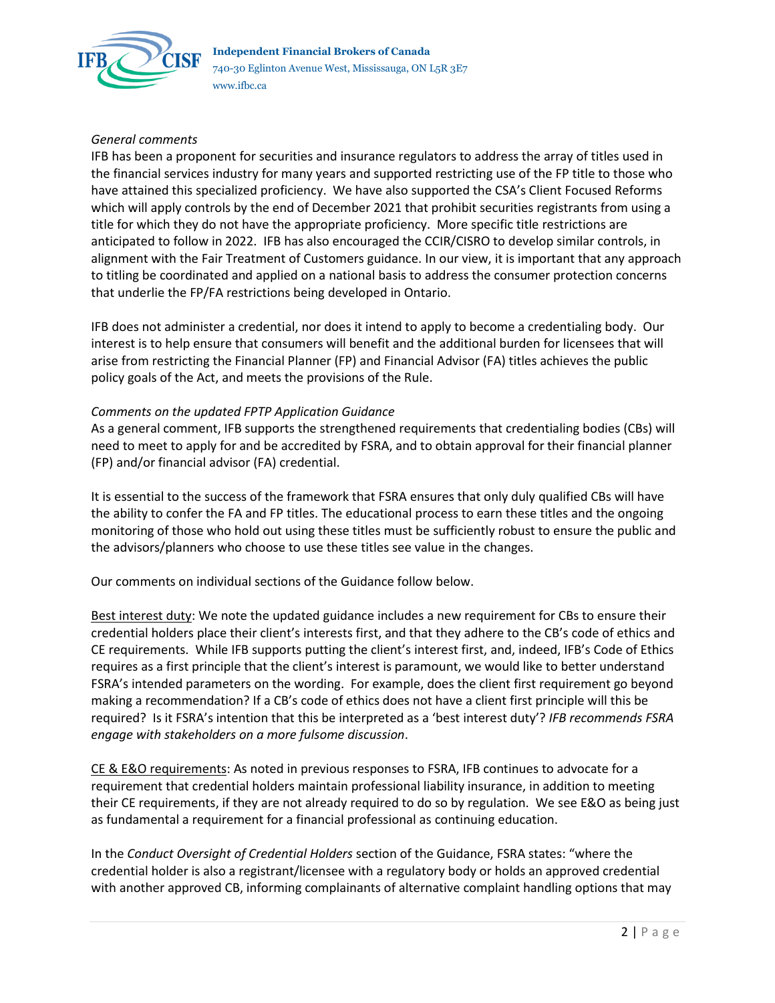

## *General comments*

IFB has been a proponent for securities and insurance regulators to address the array of titles used in the financial services industry for many years and supported restricting use of the FP title to those who have attained this specialized proficiency. We have also supported the CSA's Client Focused Reforms which will apply controls by the end of December 2021 that prohibit securities registrants from using a title for which they do not have the appropriate proficiency. More specific title restrictions are anticipated to follow in 2022. IFB has also encouraged the CCIR/CISRO to develop similar controls, in alignment with the Fair Treatment of Customers guidance. In our view, it is important that any approach to titling be coordinated and applied on a national basis to address the consumer protection concerns that underlie the FP/FA restrictions being developed in Ontario.

IFB does not administer a credential, nor does it intend to apply to become a credentialing body. Our interest is to help ensure that consumers will benefit and the additional burden for licensees that will arise from restricting the Financial Planner (FP) and Financial Advisor (FA) titles achieves the public policy goals of the Act, and meets the provisions of the Rule.

### *Comments on the updated FPTP Application Guidance*

As a general comment, IFB supports the strengthened requirements that credentialing bodies (CBs) will need to meet to apply for and be accredited by FSRA, and to obtain approval for their financial planner (FP) and/or financial advisor (FA) credential.

It is essential to the success of the framework that FSRA ensures that only duly qualified CBs will have the ability to confer the FA and FP titles. The educational process to earn these titles and the ongoing monitoring of those who hold out using these titles must be sufficiently robust to ensure the public and the advisors/planners who choose to use these titles see value in the changes.

Our comments on individual sections of the Guidance follow below.

Best interest duty: We note the updated guidance includes a new requirement for CBs to ensure their credential holders place their client's interests first, and that they adhere to the CB's code of ethics and CE requirements. While IFB supports putting the client's interest first, and, indeed, IFB's Code of Ethics requires as a first principle that the client's interest is paramount, we would like to better understand FSRA's intended parameters on the wording. For example, does the client first requirement go beyond making a recommendation? If a CB's code of ethics does not have a client first principle will this be required? Is it FSRA's intention that this be interpreted as a 'best interest duty'? *IFB recommends FSRA engage with stakeholders on a more fulsome discussion*.

CE & E&O requirements: As noted in previous responses to FSRA, IFB continues to advocate for a requirement that credential holders maintain professional liability insurance, in addition to meeting their CE requirements, if they are not already required to do so by regulation. We see E&O as being just as fundamental a requirement for a financial professional as continuing education.

In the *Conduct Oversight of Credential Holders* section of the Guidance, FSRA states: "where the credential holder is also a registrant/licensee with a regulatory body or holds an approved credential with another approved CB, informing complainants of alternative complaint handling options that may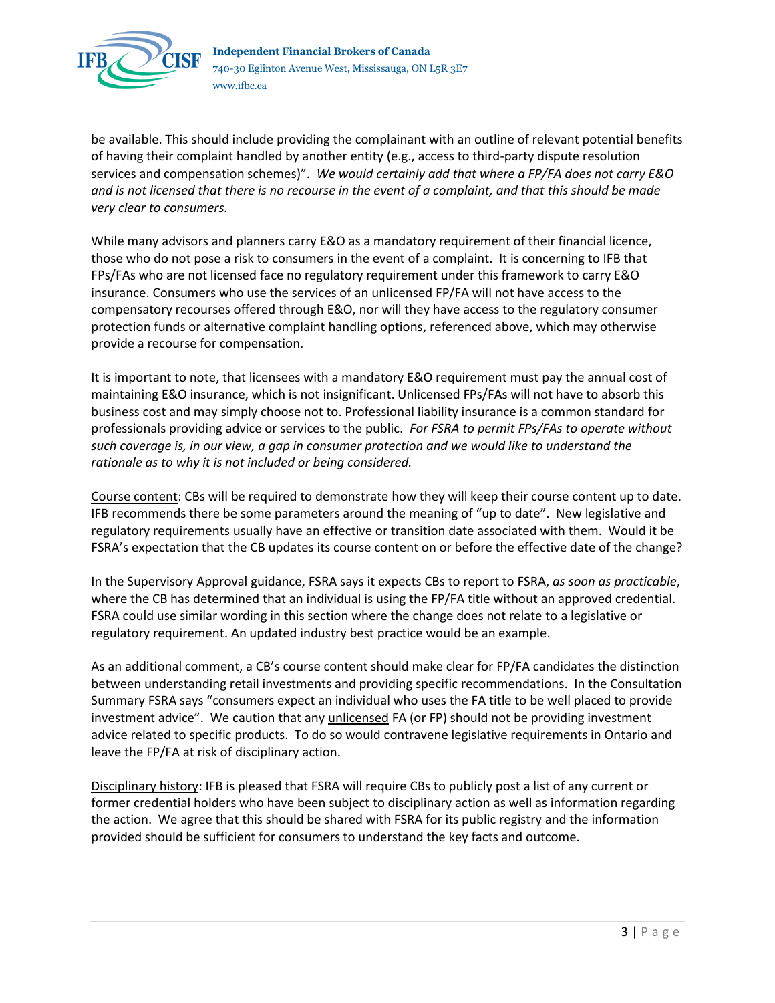

be available. This should include providing the complainant with an outline of relevant potential benefits of having their complaint handled by another entity (e.g., access to third-party dispute resolution services and compensation schemes)". *We would certainly add that where a FP/FA does not carry E&O and is not licensed that there is no recourse in the event of a complaint, and that this should be made very clear to consumers.*

While many advisors and planners carry E&O as a mandatory requirement of their financial licence, those who do not pose a risk to consumers in the event of a complaint. It is concerning to IFB that FPs/FAs who are not licensed face no regulatory requirement under this framework to carry E&O insurance. Consumers who use the services of an unlicensed FP/FA will not have access to the compensatory recourses offered through E&O, nor will they have access to the regulatory consumer protection funds or alternative complaint handling options, referenced above, which may otherwise provide a recourse for compensation.

It is important to note, that licensees with a mandatory E&O requirement must pay the annual cost of maintaining E&O insurance, which is not insignificant. Unlicensed FPs/FAs will not have to absorb this business cost and may simply choose not to. Professional liability insurance is a common standard for professionals providing advice or services to the public. *For FSRA to permit FPs/FAs to operate without such coverage is, in our view, a gap in consumer protection and we would like to understand the rationale as to why it is not included or being considered.*

Course content: CBs will be required to demonstrate how they will keep their course content up to date. IFB recommends there be some parameters around the meaning of "up to date". New legislative and regulatory requirements usually have an effective or transition date associated with them. Would it be FSRA's expectation that the CB updates its course content on or before the effective date of the change?

In the Supervisory Approval guidance, FSRA says it expects CBs to report to FSRA, *as soon as practicable*, where the CB has determined that an individual is using the FP/FA title without an approved credential. FSRA could use similar wording in this section where the change does not relate to a legislative or regulatory requirement. An updated industry best practice would be an example.

As an additional comment, a CB's course content should make clear for FP/FA candidates the distinction between understanding retail investments and providing specific recommendations. In the Consultation Summary FSRA says "consumers expect an individual who uses the FA title to be well placed to provide investment advice". We caution that any unlicensed FA (or FP) should not be providing investment advice related to specific products. To do so would contravene legislative requirements in Ontario and leave the FP/FA at risk of disciplinary action.

Disciplinary history: IFB is pleased that FSRA will require CBs to publicly post a list of any current or former credential holders who have been subject to disciplinary action as well as information regarding the action. We agree that this should be shared with FSRA for its public registry and the information provided should be sufficient for consumers to understand the key facts and outcome.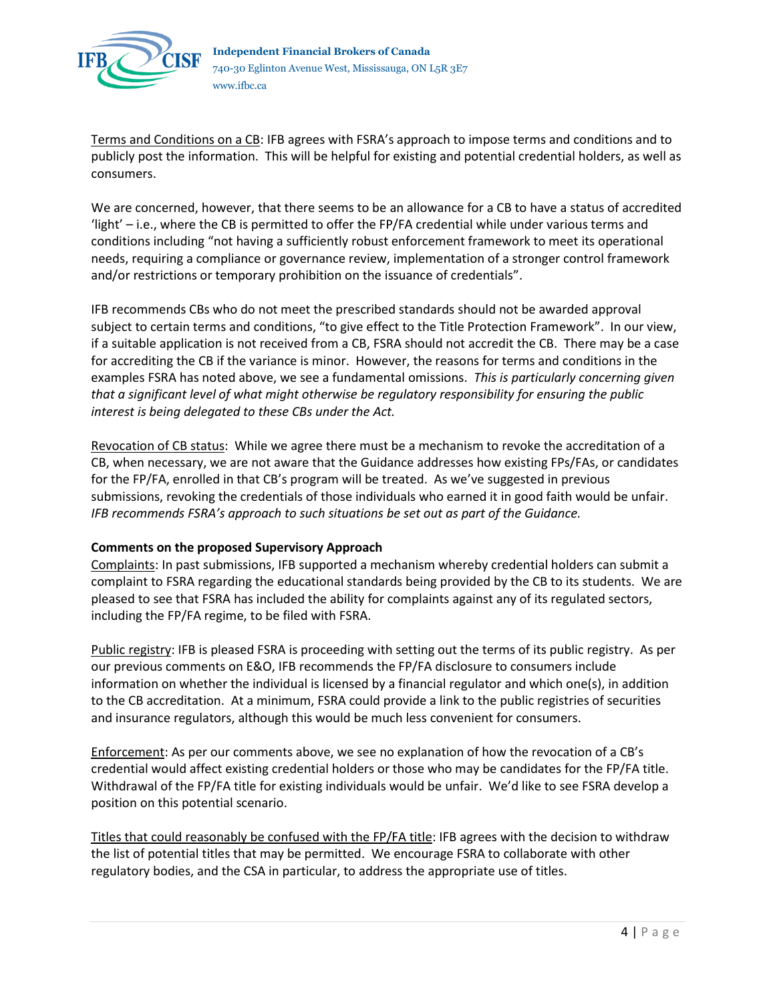

Terms and Conditions on a CB: IFB agrees with FSRA's approach to impose terms and conditions and to publicly post the information. This will be helpful for existing and potential credential holders, as well as consumers.

We are concerned, however, that there seems to be an allowance for a CB to have a status of accredited 'light' – i.e., where the CB is permitted to offer the FP/FA credential while under various terms and conditions including "not having a sufficiently robust enforcement framework to meet its operational needs, requiring a compliance or governance review, implementation of a stronger control framework and/or restrictions or temporary prohibition on the issuance of credentials".

IFB recommends CBs who do not meet the prescribed standards should not be awarded approval subject to certain terms and conditions, "to give effect to the Title Protection Framework". In our view, if a suitable application is not received from a CB, FSRA should not accredit the CB. There may be a case for accrediting the CB if the variance is minor. However, the reasons for terms and conditions in the examples FSRA has noted above, we see a fundamental omissions. *This is particularly concerning given that a significant level of what might otherwise be regulatory responsibility for ensuring the public interest is being delegated to these CBs under the Act.*

Revocation of CB status: While we agree there must be a mechanism to revoke the accreditation of a CB, when necessary, we are not aware that the Guidance addresses how existing FPs/FAs, or candidates for the FP/FA, enrolled in that CB's program will be treated. As we've suggested in previous submissions, revoking the credentials of those individuals who earned it in good faith would be unfair. *IFB recommends FSRA's approach to such situations be set out as part of the Guidance.*

# **Comments on the proposed Supervisory Approach**

Complaints: In past submissions, IFB supported a mechanism whereby credential holders can submit a complaint to FSRA regarding the educational standards being provided by the CB to its students. We are pleased to see that FSRA has included the ability for complaints against any of its regulated sectors, including the FP/FA regime, to be filed with FSRA.

Public registry: IFB is pleased FSRA is proceeding with setting out the terms of its public registry. As per our previous comments on E&O, IFB recommends the FP/FA disclosure to consumers include information on whether the individual is licensed by a financial regulator and which one(s), in addition to the CB accreditation. At a minimum, FSRA could provide a link to the public registries of securities and insurance regulators, although this would be much less convenient for consumers.

Enforcement: As per our comments above, we see no explanation of how the revocation of a CB's credential would affect existing credential holders or those who may be candidates for the FP/FA title. Withdrawal of the FP/FA title for existing individuals would be unfair. We'd like to see FSRA develop a position on this potential scenario.

Titles that could reasonably be confused with the FP/FA title: IFB agrees with the decision to withdraw the list of potential titles that may be permitted. We encourage FSRA to collaborate with other regulatory bodies, and the CSA in particular, to address the appropriate use of titles.